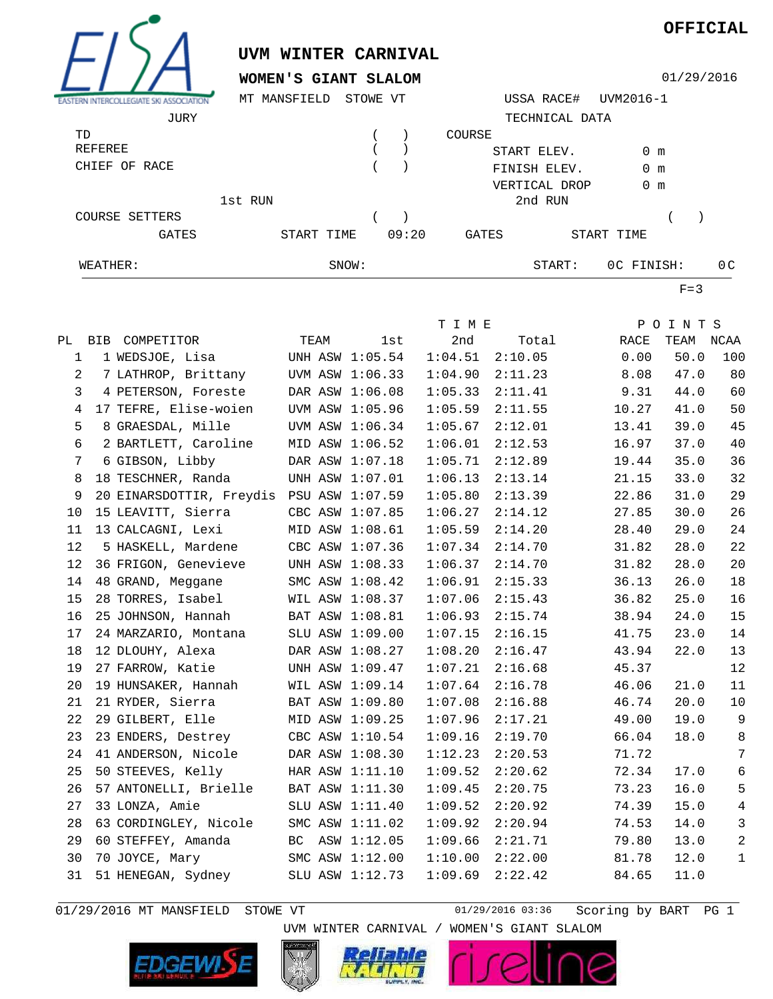

01/29/2016 MT MANSFIELD STOWE VT 01/29/2016 03:36

UVM WINTER CARNIVAL / WOMEN'S GIANT SLALOM

Scoring by BART PG 1